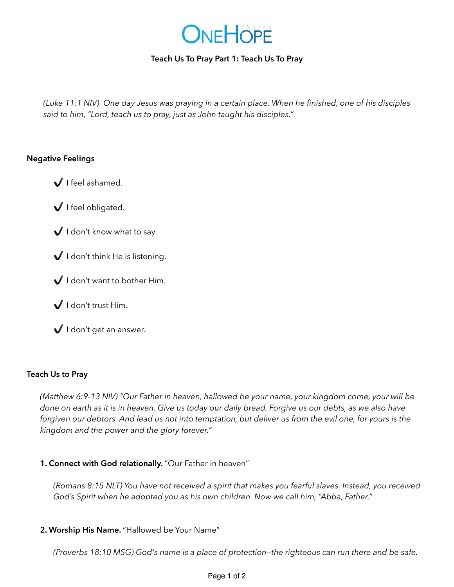

# **Teach Us To Pray Part 1: Teach Us To Pray**

*(Luke 11:1 NIV) One day Jesus was praying in a certain place. When he finished, one of his disciples said to him, "Lord, teach us to pray, just as John taught his disciples."*

### **Negative Feelings**

- ✔ I feel ashamed.
- ✔ I feel obligated.
- $\bigvee$  I don't know what to say.
- $\bigvee$  I don't think He is listening.
- I don't want to bother Him.
- $\bigvee$  I don't trust Him.
- $\bigvee$  I don't get an answer.

## **Teach Us to Pray**

*(Matthew 6:9-13 NIV) "Our Father in heaven, hallowed be your name, your kingdom come, your will be done on earth as it is in heaven. Give us today our daily bread. Forgive us our debts, as we also have forgiven our debtors. And lead us not into temptation, but deliver us from the evil one, for yours is the kingdom and the power and the glory forever."* 

## **1. Connect with God relationally.** "Our Father in heaven"

*(Romans 8:15 NLT) You have not received a spirit that makes you fearful slaves. Instead, you received God's Spirit when he adopted you as his own children. Now we call him, "Abba, Father."* 

**2. Worship His Name.** "Hallowed be Your Name"

*(Proverbs 18:10 MSG) God's name is a place of protection—the righteous can run there and be safe.*